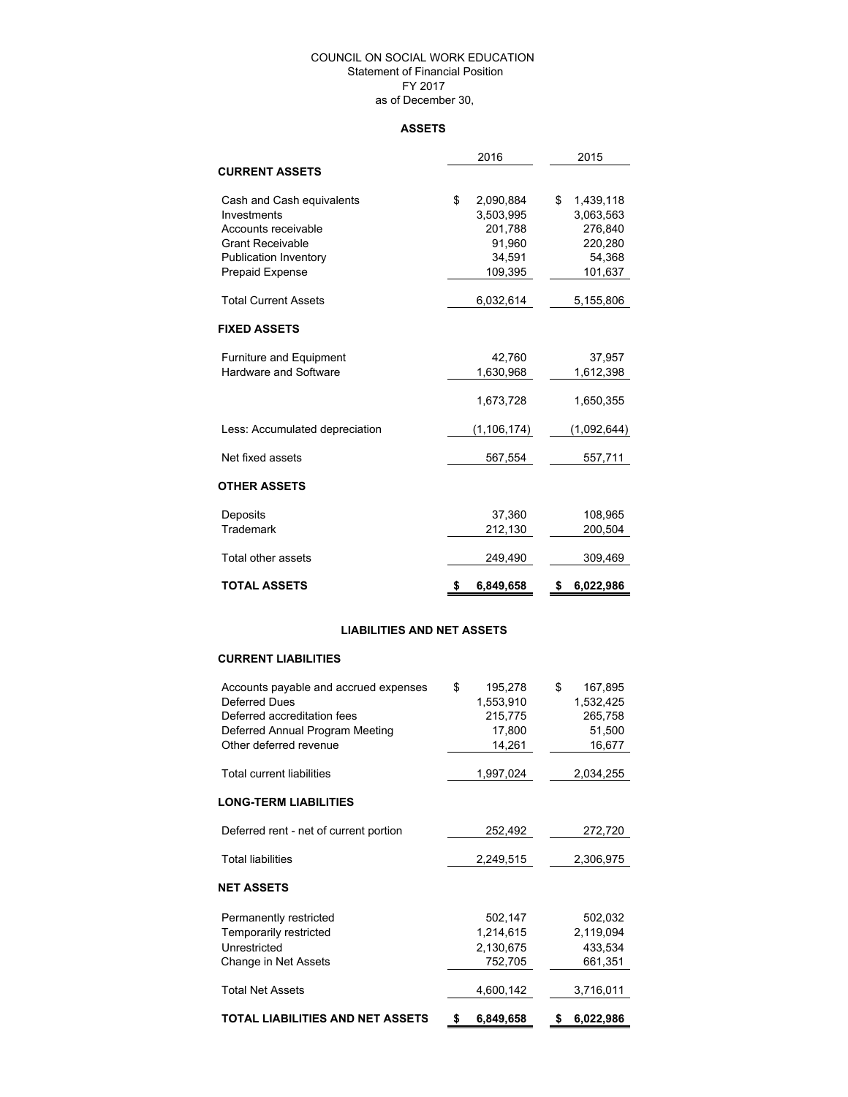### COUNCIL ON SOCIAL WORK EDUCATION Statement of Financial Position FY 2017 as of December 30,

### **ASSETS**

|                                                        | 2016 |                        |    | 2015                   |  |  |
|--------------------------------------------------------|------|------------------------|----|------------------------|--|--|
| <b>CURRENT ASSETS</b>                                  |      |                        |    |                        |  |  |
| Cash and Cash equivalents<br>Investments               | \$   | 2,090,884<br>3,503,995 | \$ | 1,439,118<br>3,063,563 |  |  |
| Accounts receivable                                    |      | 201,788                |    | 276.840                |  |  |
| <b>Grant Receivable</b>                                |      | 91,960<br>34.591       |    | 220,280<br>54.368      |  |  |
| <b>Publication Inventory</b><br><b>Prepaid Expense</b> |      | 109,395                |    | 101,637                |  |  |
| <b>Total Current Assets</b>                            |      | 6,032,614              |    | 5,155,806              |  |  |
| <b>FIXED ASSETS</b>                                    |      |                        |    |                        |  |  |
| <b>Furniture and Equipment</b>                         |      | 42,760                 |    | 37,957                 |  |  |
| <b>Hardware and Software</b>                           |      | 1,630,968              |    | 1,612,398              |  |  |
|                                                        |      | 1,673,728              |    | 1,650,355              |  |  |
| Less: Accumulated depreciation                         |      | (1, 106, 174)          |    | (1,092,644)            |  |  |
| Net fixed assets                                       |      | 567,554                |    | 557,711                |  |  |
| <b>OTHER ASSETS</b>                                    |      |                        |    |                        |  |  |
| Deposits                                               |      | 37,360                 |    | 108,965                |  |  |
| Trademark                                              |      | 212,130                |    | 200,504                |  |  |
| Total other assets                                     |      | 249,490                |    | 309,469                |  |  |
| <b>TOTAL ASSETS</b>                                    | \$   | 6,849,658              | \$ | 6,022,986              |  |  |

## **LIABILITIES AND NET ASSETS**

### **CURRENT LIABILITIES**

| Accounts payable and accrued expenses  | \$<br>195,278   | \$<br>167,895   |
|----------------------------------------|-----------------|-----------------|
| Deferred Dues                          | 1,553,910       | 1,532,425       |
| Deferred accreditation fees            | 215,775         | 265,758         |
| Deferred Annual Program Meeting        | 17,800          | 51,500          |
| Other deferred revenue                 | 14,261          | 16,677          |
|                                        |                 |                 |
| <b>Total current liabilities</b>       | 1,997,024       | 2,034,255       |
| <b>LONG-TERM LIABILITIES</b>           |                 |                 |
| Deferred rent - net of current portion | 252,492         | 272,720         |
| <b>Total liabilities</b>               | 2,249,515       | 2,306,975       |
| <b>NET ASSETS</b>                      |                 |                 |
| Permanently restricted                 | 502,147         | 502,032         |
| Temporarily restricted                 | 1,214,615       | 2,119,094       |
| Unrestricted                           | 2,130,675       | 433,534         |
| Change in Net Assets                   | 752,705         | 661,351         |
| <b>Total Net Assets</b>                | 4,600,142       | 3,716,011       |
|                                        |                 |                 |
| TOTAL LIABILITIES AND NET ASSETS       | \$<br>6,849,658 | \$<br>6,022,986 |